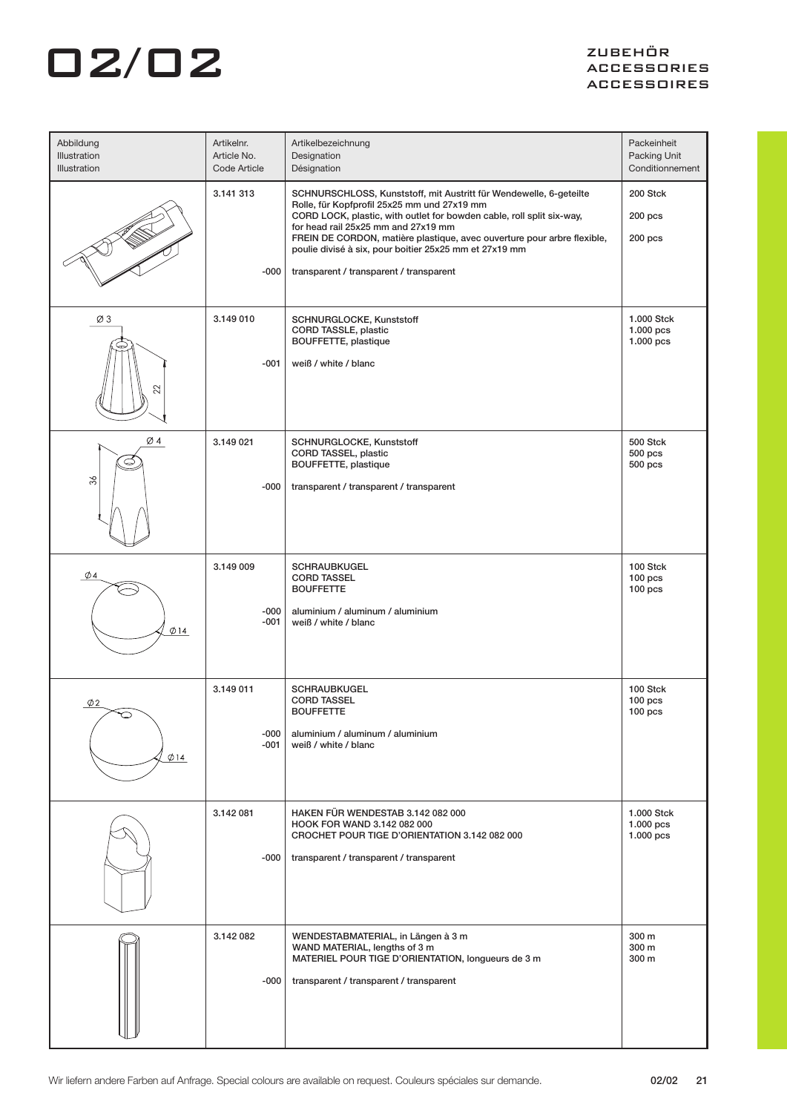| Abbildung<br>Illustration<br><b>Illustration</b> | Artikelnr.<br>Article No.<br>Code Article | Artikelbezeichnung<br>Designation<br>Désignation                                                                                                                                                                                                                                                                                                                                                                  | Packeinheit<br>Packing Unit<br>Conditionnement |
|--------------------------------------------------|-------------------------------------------|-------------------------------------------------------------------------------------------------------------------------------------------------------------------------------------------------------------------------------------------------------------------------------------------------------------------------------------------------------------------------------------------------------------------|------------------------------------------------|
|                                                  | 3.141 313<br>$-000$                       | SCHNURSCHLOSS, Kunststoff, mit Austritt für Wendewelle, 6-geteilte<br>Rolle, für Kopfprofil 25x25 mm und 27x19 mm<br>CORD LOCK, plastic, with outlet for bowden cable, roll split six-way,<br>for head rail 25x25 mm and 27x19 mm<br>FREIN DE CORDON, matière plastique, avec ouverture pour arbre flexible,<br>poulie divisé à six, pour boitier 25x25 mm et 27x19 mm<br>transparent / transparent / transparent | 200 Stck<br>$200$ pcs<br>200 pcs               |
| Ø3<br>22                                         | 3.149 010<br>$-001$                       | SCHNURGLOCKE, Kunststoff<br>CORD TASSLE, plastic<br>BOUFFETTE, plastique<br>weiß / white / blanc                                                                                                                                                                                                                                                                                                                  | 1.000 Stck<br>$1.000$ pcs<br>1.000 pcs         |
| $\varnothing$ 4<br>Ø<br>36                       | 3.149 021<br>-000                         | SCHNURGLOCKE, Kunststoff<br>CORD TASSEL, plastic<br>BOUFFETTE, plastique<br>transparent / transparent / transparent                                                                                                                                                                                                                                                                                               | 500 Stck<br>$500$ pcs<br>500 pcs               |
| $\emptyset$ 4<br>$\emptyset$ 14                  | 3.149 009<br>$-000$<br>-001               | <b>SCHRAUBKUGEL</b><br><b>CORD TASSEL</b><br><b>BOUFFETTE</b><br>aluminium / aluminum / aluminium<br>weiß / white / blanc                                                                                                                                                                                                                                                                                         | 100 Stck<br>100 <sub>pos</sub><br>$100$ pcs    |
| Ø2<br>$\emptyset$ 14                             | 3.149 011<br>$-000$<br>$-001$             | SCHRAUBKUGEL<br><b>CORD TASSEL</b><br><b>BOUFFETTE</b><br>aluminium / aluminum / aluminium<br>weiß / white / blanc                                                                                                                                                                                                                                                                                                | 100 Stck<br>$100$ pcs<br>$100$ pcs             |
|                                                  | 3.142 081<br>-000                         | HAKEN FÜR WENDESTAB 3.142 082 000<br>HOOK FOR WAND 3.142 082 000<br>CROCHET POUR TIGE D'ORIENTATION 3.142 082 000<br>transparent / transparent / transparent                                                                                                                                                                                                                                                      | 1.000 Stck<br>1.000 pcs<br>$1.000$ pcs         |
|                                                  | 3.142 082<br>-000                         | WENDESTABMATERIAL, in Längen à 3 m<br>WAND MATERIAL, lengths of 3 m<br>MATERIEL POUR TIGE D'ORIENTATION, longueurs de 3 m<br>transparent / transparent / transparent                                                                                                                                                                                                                                              | 300 m<br>300 m<br>300 m                        |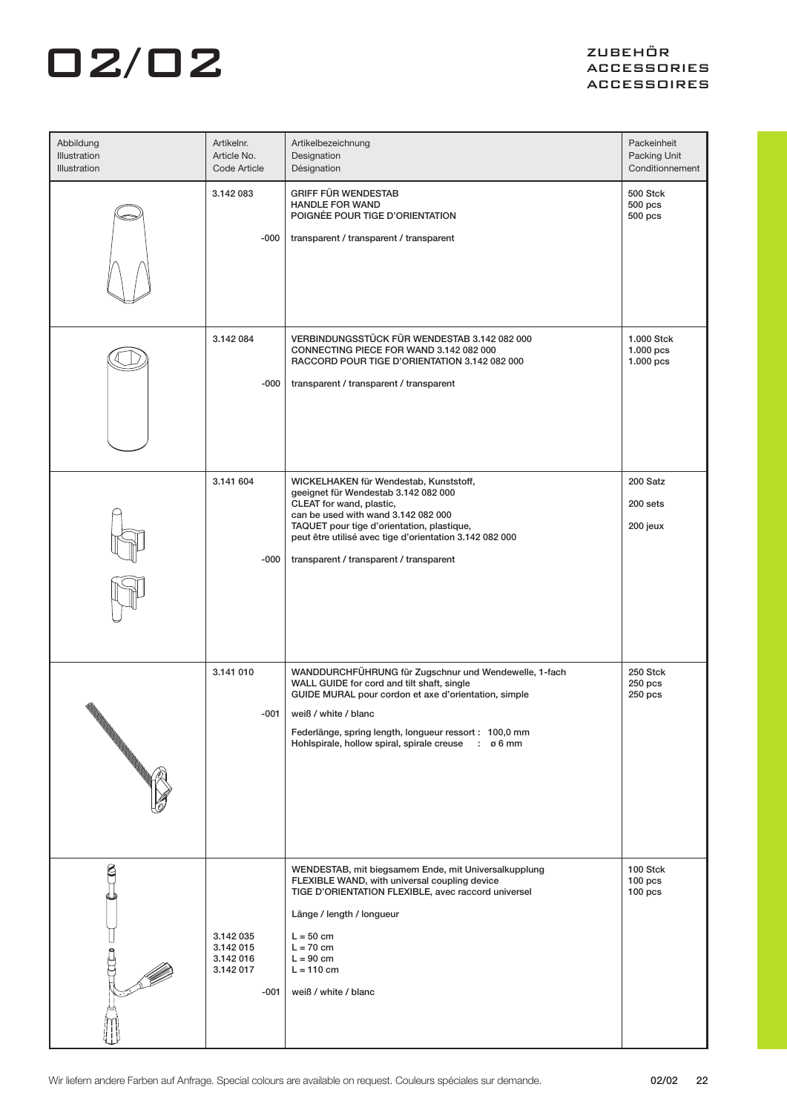| Abbildung<br>Illustration<br>Illustration | Artikelnr.<br>Article No.<br>Code Article                  | Artikelbezeichnung<br>Designation<br>Désignation                                                                                                                                                                                                                                                                  | Packeinheit<br>Packing Unit<br>Conditionnement |
|-------------------------------------------|------------------------------------------------------------|-------------------------------------------------------------------------------------------------------------------------------------------------------------------------------------------------------------------------------------------------------------------------------------------------------------------|------------------------------------------------|
|                                           | 3.142 083<br>-000                                          | <b>GRIFF FÜR WENDESTAB</b><br><b>HANDLE FOR WAND</b><br>POIGNÉE POUR TIGE D'ORIENTATION<br>transparent / transparent / transparent                                                                                                                                                                                | 500 Stck<br>$500$ pcs<br>500 pcs               |
|                                           | 3.142 084<br>-000                                          | VERBINDUNGSSTÜCK FÜR WENDESTAB 3.142 082 000<br>CONNECTING PIECE FOR WAND 3.142 082 000<br>RACCORD POUR TIGE D'ORIENTATION 3.142 082 000<br>transparent / transparent / transparent                                                                                                                               | 1.000 Stck<br>$1.000$ pcs<br>1.000 pcs         |
|                                           | 3.141 604<br>-000                                          | WICKELHAKEN für Wendestab, Kunststoff,<br>geeignet für Wendestab 3.142 082 000<br>CLEAT for wand, plastic,<br>can be used with wand 3.142 082 000<br>TAQUET pour tige d'orientation, plastique,<br>peut être utilisé avec tige d'orientation 3.142 082 000<br>transparent / transparent / transparent             | 200 Satz<br>200 sets<br>200 jeux               |
|                                           | 3.141 010<br>-001                                          | WANDDURCHFÜHRUNG für Zugschnur und Wendewelle, 1-fach<br>WALL GUIDE for cord and tilt shaft, single<br>GUIDE MURAL pour cordon et axe d'orientation, simple<br>weiß / white / blanc<br>Federlänge, spring length, longueur ressort : 100,0 mm<br>Hohlspirale, hollow spiral, spirale creuse<br>$: \emptyset$ 6 mm | 250 Stck<br>$250$ pcs<br>250 pcs               |
| g                                         | 3.142 035<br>3.142 015<br>3.142 016<br>3.142 017<br>$-001$ | WENDESTAB, mit biegsamem Ende, mit Universalkupplung<br>FLEXIBLE WAND, with universal coupling device<br>TIGE D'ORIENTATION FLEXIBLE, avec raccord universel<br>Länge / length / longueur<br>$L = 50$ cm<br>$L = 70$ cm<br>$L = 90$ cm<br>$L = 110$ cm<br>weiß / white / blanc                                    | 100 Stck<br>$100$ pcs<br>$100$ pcs             |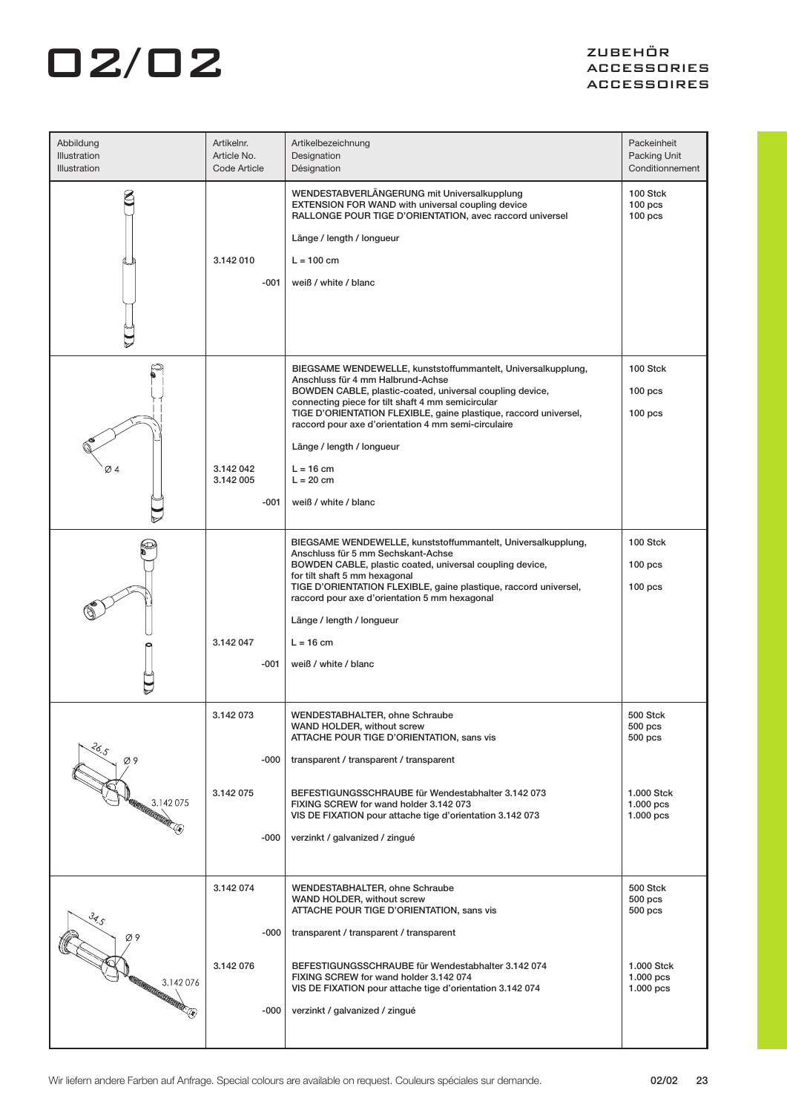| Abbildung<br>Illustration<br><b>Illustration</b>                                 | Artikelnr.<br>Article No.<br>Code Article | Artikelbezeichnung<br>Designation<br>Désignation                                                                                                                                                                                                                                                                                                                                                                                 | Packeinheit<br>Packing Unit<br>Conditionnement                                 |
|----------------------------------------------------------------------------------|-------------------------------------------|----------------------------------------------------------------------------------------------------------------------------------------------------------------------------------------------------------------------------------------------------------------------------------------------------------------------------------------------------------------------------------------------------------------------------------|--------------------------------------------------------------------------------|
|                                                                                  | 3.142 010<br>$-001$                       | WENDESTABVERLÄNGERUNG mit Universalkupplung<br><b>EXTENSION FOR WAND with universal coupling device</b><br>RALLONGE POUR TIGE D'ORIENTATION, avec raccord universel<br>Länge / length / longueur<br>$L = 100$ cm<br>weiß / white / blanc                                                                                                                                                                                         | 100 Stck<br>$100$ pcs<br>100 <sub>pos</sub>                                    |
| Ø4                                                                               | 3.142 042<br>3.142 005<br>$-001$          | BIEGSAME WENDEWELLE, kunststoffummantelt, Universalkupplung,<br>Anschluss für 4 mm Halbrund-Achse<br>BOWDEN CABLE, plastic-coated, universal coupling device,<br>connecting piece for tilt shaft 4 mm semicircular<br>TIGE D'ORIENTATION FLEXIBLE, gaine plastique, raccord universel,<br>raccord pour axe d'orientation 4 mm semi-circulaire<br>Länge / length / longueur<br>$L = 16$ cm<br>$L = 20$ cm<br>weiß / white / blanc | 100 Stck<br>$100$ pcs<br>$100$ pcs                                             |
|                                                                                  | 3.142 047<br>$-001$                       | BIEGSAME WENDEWELLE, kunststoffummantelt, Universalkupplung,<br>Anschluss für 5 mm Sechskant-Achse<br>BOWDEN CABLE, plastic coated, universal coupling device,<br>for tilt shaft 5 mm hexagonal<br>TIGE D'ORIENTATION FLEXIBLE, gaine plastique, raccord universel,<br>raccord pour axe d'orientation 5 mm hexagonal<br>Länge / length / longueur<br>$L = 16$ cm<br>weiß / white / blanc                                         | 100 Stck<br>$100$ pcs<br>$100$ pcs                                             |
| 36.5<br>Ø9<br>3.142075<br>)<br>MATHELITTER (R)                                   | 3.142 073<br>-000<br>3.142 075<br>-000    | <b>WENDESTABHALTER, ohne Schraube</b><br>WAND HOLDER, without screw<br>ATTACHE POUR TIGE D'ORIENTATION, sans vis<br>transparent / transparent / transparent<br>BEFESTIGUNGSSCHRAUBE für Wendestabhalter 3.142 073<br>FIXING SCREW for wand holder 3.142 073<br>VIS DE FIXATION pour attache tige d'orientation 3.142 073<br>verzinkt / galvanized / zingué                                                                       | 500 Stck<br>500 pcs<br>$500$ pcs<br>1.000 Stck<br>$1.000$ pcs<br>$1.000$ pcs   |
| $\mathcal{Z}_{\mathcal{A},\mathcal{S}}$<br>Ø9<br><b>EUCLICATORICATORICANOSCO</b> | 3.142 074<br>$-000$<br>3.142 076<br>-000  | WENDESTABHALTER, ohne Schraube<br>WAND HOLDER, without screw<br>ATTACHE POUR TIGE D'ORIENTATION, sans vis<br>transparent / transparent / transparent<br>BEFESTIGUNGSSCHRAUBE für Wendestabhalter 3.142 074<br>FIXING SCREW for wand holder 3.142 074<br>VIS DE FIXATION pour attache tige d'orientation 3.142 074<br>verzinkt / galvanized / zingué                                                                              | 500 Stck<br>$500$ pcs<br>$500$ pcs<br>1.000 Stck<br>$1.000$ pcs<br>$1.000$ pcs |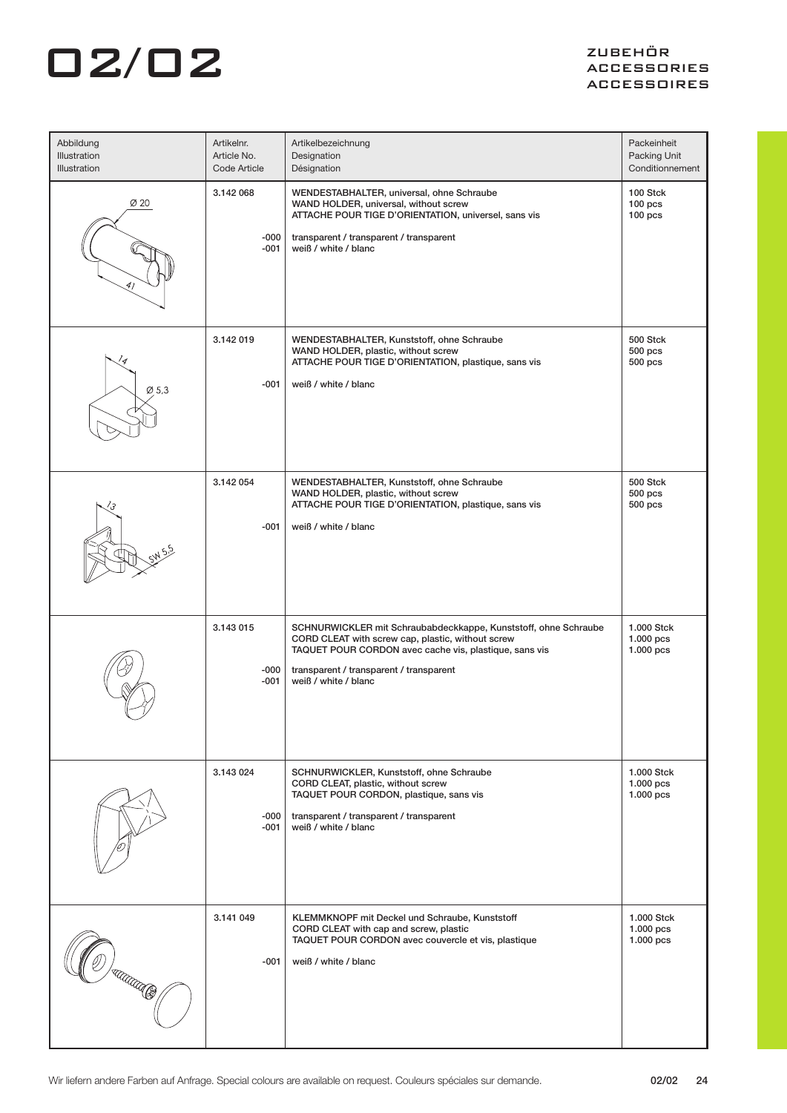| Abbildung<br>Illustration<br>Illustration | Artikelnr.<br>Article No.<br>Code Article | Artikelbezeichnung<br>Designation<br>Désignation                                                                                                                                                                                                  | Packeinheit<br>Packing Unit<br>Conditionnement |
|-------------------------------------------|-------------------------------------------|---------------------------------------------------------------------------------------------------------------------------------------------------------------------------------------------------------------------------------------------------|------------------------------------------------|
| $\varnothing$ 20                          | 3.142 068<br>-000<br>-001                 | WENDESTABHALTER, universal, ohne Schraube<br>WAND HOLDER, universal, without screw<br>ATTACHE POUR TIGE D'ORIENTATION, universel, sans vis<br>transparent / transparent / transparent<br>weiß / white / blanc                                     | 100 Stck<br>$100$ pcs<br>$100$ pcs             |
| 14<br>$\varnothing$ 5,3                   | 3.142 019<br>-001                         | WENDESTABHALTER, Kunststoff, ohne Schraube<br>WAND HOLDER, plastic, without screw<br>ATTACHE POUR TIGE D'ORIENTATION, plastique, sans vis<br>weiß / white / blanc                                                                                 | <b>500 Stck</b><br>$500$ pcs<br>500 pcs        |
|                                           | 3.142 054<br>-001                         | WENDESTABHALTER, Kunststoff, ohne Schraube<br>WAND HOLDER, plastic, without screw<br>ATTACHE POUR TIGE D'ORIENTATION, plastique, sans vis<br>weiß / white / blanc                                                                                 | 500 Stck<br>$500$ pcs<br>500 pcs               |
|                                           | 3.143 015<br>-000<br>-001                 | SCHNURWICKLER mit Schraubabdeckkappe, Kunststoff, ohne Schraube<br>CORD CLEAT with screw cap, plastic, without screw<br>TAQUET POUR CORDON avec cache vis, plastique, sans vis<br>transparent / transparent / transparent<br>weiß / white / blanc | 1.000 Stck<br>$1.000$ pcs<br>1.000 pcs         |
|                                           | 3.143 024<br>$-000$<br>-001               | SCHNURWICKLER, Kunststoff, ohne Schraube<br>CORD CLEAT, plastic, without screw<br>TAQUET POUR CORDON, plastique, sans vis<br>transparent / transparent / transparent<br>weiß / white / blanc                                                      | 1.000 Stck<br>$1.000$ pcs<br>$1.000$ pcs       |
| TUTTU S                                   | 3.141 049<br>-001                         | KLEMMKNOPF mit Deckel und Schraube, Kunststoff<br>CORD CLEAT with cap and screw, plastic<br>TAQUET POUR CORDON avec couvercle et vis, plastique<br>weiß / white / blanc                                                                           | 1.000 Stck<br>$1.000$ pcs<br>$1.000$ pcs       |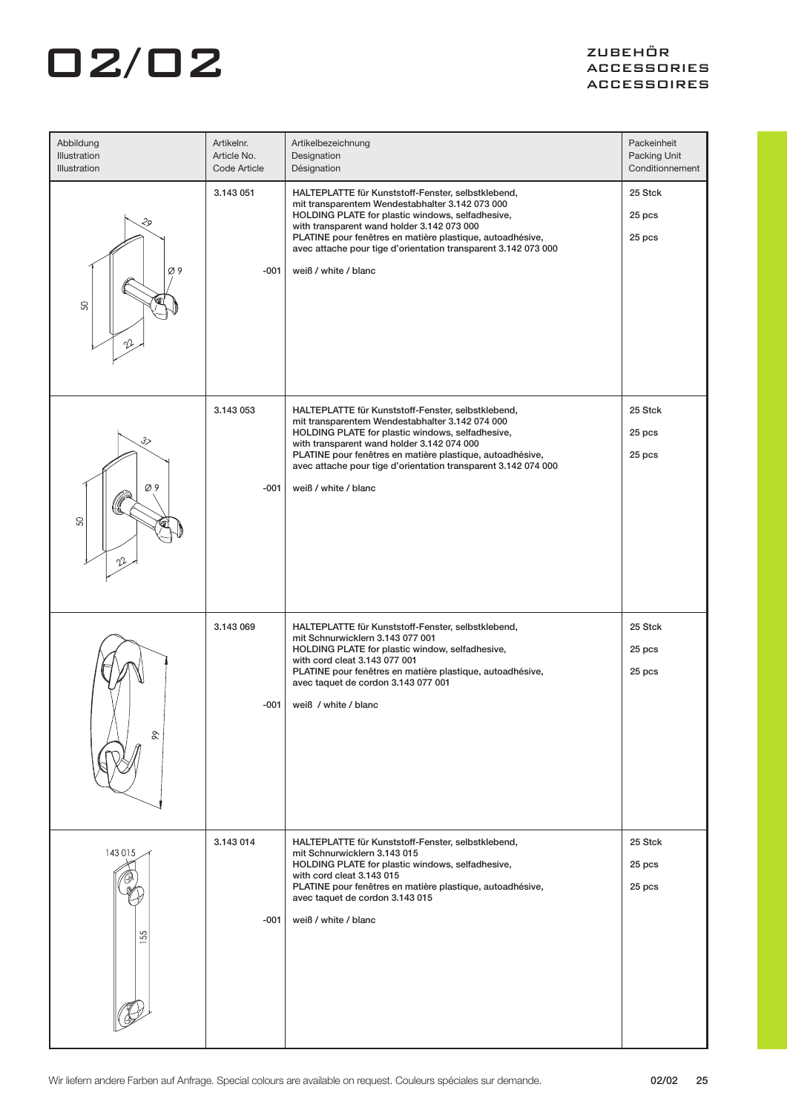| Abbildung<br>Illustration<br>Illustration | Artikelnr.<br>Article No.<br>Code Article | Artikelbezeichnung<br>Designation<br>Désignation                                                                                                                                                                                                                                                                                                               | Packeinheit<br>Packing Unit<br>Conditionnement |
|-------------------------------------------|-------------------------------------------|----------------------------------------------------------------------------------------------------------------------------------------------------------------------------------------------------------------------------------------------------------------------------------------------------------------------------------------------------------------|------------------------------------------------|
| 29<br>Ø9<br>SO                            | 3.143 051<br>$-001$                       | HALTEPLATTE für Kunststoff-Fenster, selbstklebend,<br>mit transparentem Wendestabhalter 3.142 073 000<br>HOLDING PLATE for plastic windows, selfadhesive,<br>with transparent wand holder 3.142 073 000<br>PLATINE pour fenêtres en matière plastique, autoadhésive,<br>avec attache pour tige d'orientation transparent 3.142 073 000<br>weiß / white / blanc | 25 Stck<br>25 pcs<br>25 pcs                    |
| 3><br>Ø9<br>SO<br>ŋJ                      | 3.143 053<br>$-001$                       | HALTEPLATTE für Kunststoff-Fenster, selbstklebend,<br>mit transparentem Wendestabhalter 3.142 074 000<br>HOLDING PLATE for plastic windows, selfadhesive,<br>with transparent wand holder 3.142 074 000<br>PLATINE pour fenêtres en matière plastique, autoadhésive,<br>avec attache pour tige d'orientation transparent 3.142 074 000<br>weiß / white / blanc | 25 Stck<br>25 pcs<br>25 pcs                    |
| $\delta$                                  | 3.143 069<br>$-001$                       | HALTEPLATTE für Kunststoff-Fenster, selbstklebend,<br>mit Schnurwicklern 3.143 077 001<br>HOLDING PLATE for plastic window, selfadhesive,<br>with cord cleat 3.143 077 001<br>PLATINE pour fenêtres en matière plastique, autoadhésive,<br>avec taquet de cordon 3.143 077 001<br>weiß / white / blanc                                                         | 25 Stck<br>25 pcs<br>25 pcs                    |
| 143015<br>55                              | 3.143 014<br>-001                         | HALTEPLATTE für Kunststoff-Fenster, selbstklebend,<br>mit Schnurwicklern 3.143 015<br>HOLDING PLATE for plastic windows, selfadhesive,<br>with cord cleat 3.143 015<br>PLATINE pour fenêtres en matière plastique, autoadhésive,<br>avec taquet de cordon 3.143 015<br>weiß / white / blanc                                                                    | 25 Stck<br>25 pcs<br>25 pcs                    |